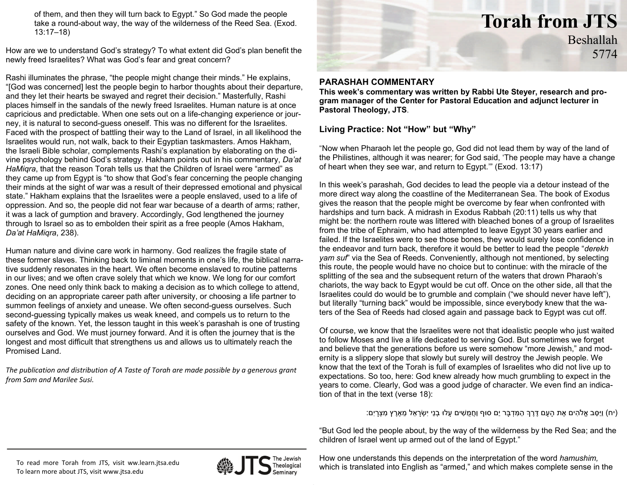of them, and then they will turn back to Egypt." So God made the people take a round-about way, the way of the wilderness of the Reed Sea. (Exod. 13:17–18)

How are we to understand God's strategy? To what extent did God's plan benefit the newly freed Israelites? What was God's fear and great concern?

Rashi illuminates the phrase, "the people might change their minds." He explains, "[God was concerned] lest the people begin to harbor thoughts about their departure, and they let their hearts be swayed and regret their decision." Masterfully, Rashi places himself in the sandals of the newly freed Israelites. Human nature is at once capricious and predictable. When one sets out on a life-changing experience or journey, it is natural to second-guess oneself. This was no different for the Israelites. Faced with the prospect of battling their way to the Land of Israel, in all likelihood the Israelites would run, not walk, back to their Egyptian taskmasters. Amos Hakham, the Israeli Bible scholar, complements Rashi's explanation by elaborating on the divine psychology behind God's strategy. Hakham points out in his commentary, *Da'at HaMiqra*, that the reason Torah tells us that the Children of Israel were "armed" as they came up from Egypt is "to show that God's fear concerning the people changing their minds at the sight of war was a result of their depressed emotional and physical state." Hakham explains that the Israelites were a people enslaved, used to a life of oppression. And so, the people did not fear war because of a dearth of arms; rather, it was a lack of gumption and bravery. Accordingly, God lengthened the journey through to Israel so as to embolden their spirit as a free people (Amos Hakham, *Da'at HaMiqra*, 238).

Human nature and divine care work in harmony. God realizes the fragile state of these former slaves. Thinking back to liminal moments in one's life, the biblical narrative suddenly resonates in the heart. We often become enslaved to routine patterns in our lives; and we often crave solely that which we know. We long for our comfort zones. One need only think back to making a decision as to which college to attend, deciding on an appropriate career path after university, or choosing a life partner to summon feelings of anxiety and unease. We often second-guess ourselves. Such second-guessing typically makes us weak kneed, and compels us to return to the safety of the known. Yet, the lesson taught in this week's parashah is one of trusting ourselves and God. We must journey forward. And it is often the journey that is the longest and most difficult that strengthens us and allows us to ultimately reach the Promised Land.

*The publication and distribution of A Taste of Torah are made possible by <sup>a</sup> generous grant from Sam and Marilee Susi.*



# **PARASHAH COMMENTARY**

**This week's commentary was written by Rabbi Ute Steyer, research and program manager of the Center for Pastoral Education and adjunct lecturer in Pastoral Theology, JTS**.

# **Living Practice: Not "How" but "Why"**

"Now when Pharaoh let the people go, God did not lead them by way of the land of the Philistines, although it was nearer; for God said, 'The people may have a change of heart when they see war, and return to Egypt.'" (Exod. 13:17)

In this week's parashah, God decides to lead the people via a detour instead of the more direct way along the coastline of the Mediterranean Sea. The book of Exodus gives the reason that the people might be overcome by fear when confronted with hardships and turn back. A midrash in Exodus Rabbah (20:11) tells us why that might be: the northern route was littered with bleached bones of a group of Israelites from the tribe of Ephraim, who had attempted to leave Egypt 30 years earlier and failed. If the Israelites were to see those bones, they would surely lose confidence in the endeavor and turn back, therefore it would be better to lead the people "*derekh yam suf*" via the Sea of Reeds. Conveniently, although not mentioned, by selecting this route, the people would have no choice but to continue: with the miracle of the splitting of the sea and the subsequent return of the waters that drown Pharaoh's chariots, the way back to Egypt would be cut off. Once on the other side, all that the Israelites could do would be to grumble and complain ("we should never have left"), but literally "turning back" would be impossible, since everybody knew that the waters of the Sea of Reeds had closed again and passage back to Egypt was cut off.

Of course, we know that the Israelites were not that idealistic people who just waited to follow Moses and live a life dedicated to serving God. But sometimes we forget and believe that the generations before us were somehow "more Jewish," and modernity is a slippery slope that slowly but surely will destroy the Jewish people. We know that the text of the Torah is full of examples of Israelites who did not live up to expectations. So too, here: God knew already how much grumbling to expect in the years to come. Clearly, God was a good judge of character. We even find an indication of that in the text (verse 18):

(יח) וַיַּסֵּב אֱלֹהִים אֶת הָעָם דֶּרֶךְ הַמִּדְבָּר יַם סוּף וַחֲמֻשִׁים עָלוּ בְנֵי יִשְׂרָאֵל מֵאֶרֶץ מִצְרָיִם:

"But God led the people about, by the way of the wilderness by the Red Sea; and the children of Israel went up armed out of the land of Egypt."

To read more Torah from JTS, visit ww.learn.jtsa.edu To learn more about JTS, visit www.jtsa.edu



How one understands this depends on the interpretation of the word *hamushim,* which is translated into English as "armed," and which makes complete sense in the